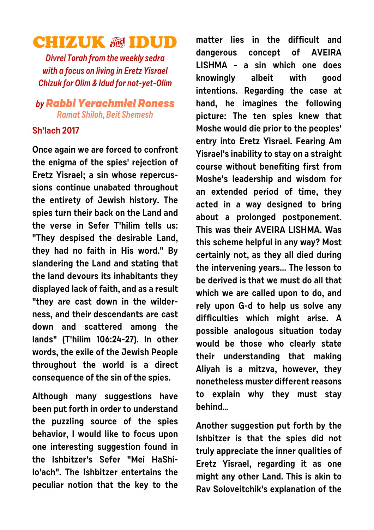## **CHIZUK & IDUD**

**Divrei Torah from the weekly sedra with a focus on living in Eretz Yisrael Chizuk for Olim & Idud for not-yet-Olim**

## **byRabbi Yerachmiel Roness Ramat Shiloh, Beit Shemesh**

## **Sh'lach 2017**

**Once again we are forced to confront the enigma of the spies' rejection of Eretz Yisrael; a sin whose repercussions continue unabated throughout the entirety of Jewish history. The spies turn their back on the Land and the verse in Sefer T'hilim tells us: "They despised the desirable Land, they had no faith in His word." By slandering the Land and stating that the land devours its inhabitants they displayed lack of faith, and as a result "they are cast down in the wilderness, and their descendants are cast down and scattered among the lands" (T'hilim 106:24-27). In other words, the exile of the Jewish People throughout the world is a direct consequence of the sin of the spies.**

**Although many suggestions have been put forth in order to understand the puzzling source of the spies behavior, I would like to focus upon one interesting suggestion found in the Ishbitzer's Sefer "Mei HaShilo'ach". The Ishbitzer entertains the peculiar notion that the key to the** **matter lies in the difficult and dangerous concept of AVEIRA LISHMA - a sin which one does knowingly albeit with good intentions. Regarding the case at hand, he imagines the following picture: The ten spies knew that Moshe would die prior to the peoples' entry into Eretz Yisrael. Fearing Am Yisrael's inability to stay on a straight course without benefiting first from Moshe's leadership and wisdom for an extended period of time, they acted in a way designed to bring about a prolonged postponement. This was their AVEIRA LISHMA. Was this scheme helpful in any way? Most certainly not, as they all died during the intervening years... The lesson to be derived is that we must do all that which we are called upon to do, and rely upon G-d to help us solve any difficulties which might arise. A possible analogous situation today would be those who clearly state their understanding that making Aliyah is a mitzva, however, they nonetheless muster different reasons to explain why they must stay behind…**

**Another suggestion put forth by the Ishbitzer is that the spies did not truly appreciate the inner qualities of Eretz Yisrael, regarding it as one might any other Land. This is akin to Rav Soloveitchik's explanation of the**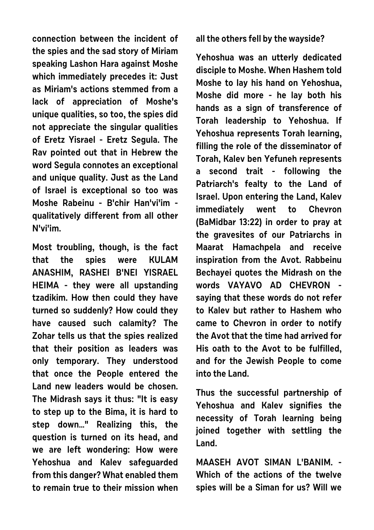**connection between the incident of the spies and the sad story of Miriam speaking Lashon Hara against Moshe which immediately precedes it: Just as Miriam's actions stemmed from a lack of appreciation of Moshe's unique qualities, so too, the spies did not appreciate the singular qualities of Eretz Yisrael - Eretz Segula. The Rav pointed out that in Hebrew the word Segula connotes an exceptional and unique quality. Just as the Land of Israel is exceptional so too was Moshe Rabeinu - B'chir Han'vi'im qualitatively different from all other N'vi'im.**

**Most troubling, though, is the fact that the spies were KULAM ANASHIM, RASHEI B'NEI YISRAEL HEIMA - they were all upstanding tzadikim. How then could they have turned so suddenly? How could they have caused such calamity? The Zohar tells us that the spies realized that their position as leaders was only temporary. They understood that once the People entered the Land new leaders would be chosen. The Midrash says it thus: "It is easy to step up to the Bima, it is hard to step down…" Realizing this, the question is turned on its head, and we are left wondering: How were Yehoshua and Kalev safeguarded from this danger? What enabled them to remain true to their mission when**

**all the others fell by the wayside?**

**Yehoshua was an utterly dedicated disciple to Moshe. When Hashem told Moshe to lay his hand on Yehoshua, Moshe did more - he lay both his hands as a sign of transference of Torah leadership to Yehoshua. If Yehoshua represents Torah learning, filling the role of the disseminator of Torah, Kalev ben Yefuneh represents a second trait - following the Patriarch's fealty to the Land of Israel. Upon entering the Land, Kalev immediately went to Chevron (BaMidbar 13:22) in order to pray at the gravesites of our Patriarchs in Maarat Hamachpela and receive inspiration from the Avot. Rabbeinu Bechayei quotes the Midrash on the words VAYAVO AD CHEVRON saying that these words do not refer to Kalev but rather to Hashem who came to Chevron in order to notify the Avot that the time had arrived for His oath to the Avot to be fulfilled, and for the Jewish People to come into the Land.**

**Thus the successful partnership of Yehoshua and Kalev signifies the necessity of Torah learning being joined together with settling the Land.**

**MAASEH AVOT SIMAN L'BANIM. - Which of the actions of the twelve spies will be a Siman for us? Will we**